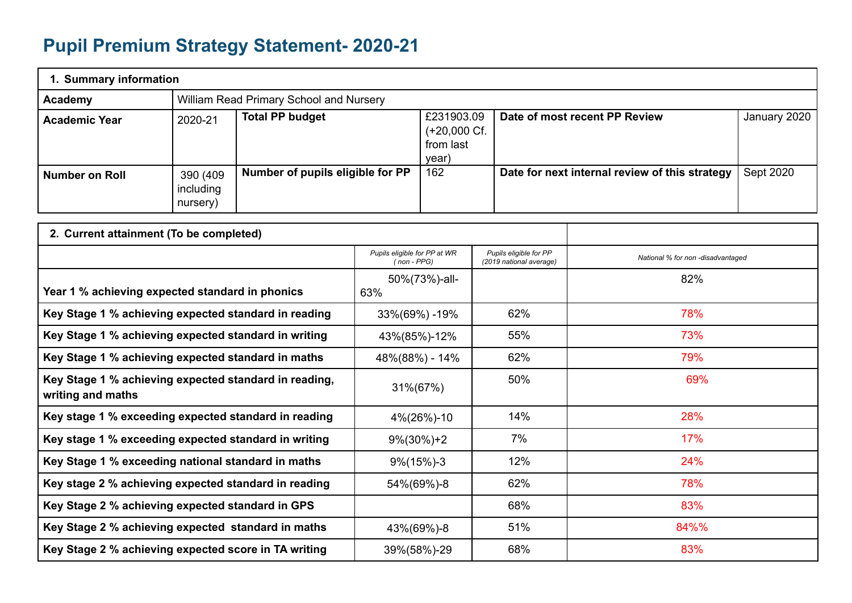## **Pupil Premium Strategy Statement- 2020-21**

| 1. Summary information |                                    |                                         |                                                     |                                                |              |  |  |
|------------------------|------------------------------------|-----------------------------------------|-----------------------------------------------------|------------------------------------------------|--------------|--|--|
| Academy                |                                    | William Read Primary School and Nursery |                                                     |                                                |              |  |  |
| <b>Academic Year</b>   | 2020-21                            | <b>Total PP budget</b>                  | £231903.09<br>$(+20,000)$ Cf.<br>from last<br>year) | Date of most recent PP Review                  | January 2020 |  |  |
| <b>Number on Roll</b>  | 390 (409)<br>including<br>nursery) | Number of pupils eligible for PP        | 162                                                 | Date for next internal review of this strategy | Sept 2020    |  |  |

| 2. Current attainment (To be completed)                                    |                                             |                                                   |                                   |
|----------------------------------------------------------------------------|---------------------------------------------|---------------------------------------------------|-----------------------------------|
|                                                                            | Pupils eligible for PP at WR<br>(non - PPG) | Pupils eligible for PP<br>(2019 national average) | National % for non -disadvantaged |
| Year 1 % achieving expected standard in phonics                            | 50%(73%)-all-<br>63%                        |                                                   | 82%                               |
| Key Stage 1 % achieving expected standard in reading                       | 33%(69%) -19%                               | 62%                                               | 78%                               |
| Key Stage 1 % achieving expected standard in writing                       | 43%(85%)-12%                                | 55%                                               | 73%                               |
| Key Stage 1 % achieving expected standard in maths                         | 48%(88%) - 14%                              | 62%                                               | 79%                               |
| Key Stage 1 % achieving expected standard in reading,<br>writing and maths | 31%(67%)                                    | 50%                                               | 69%                               |
| Key stage 1 % exceeding expected standard in reading                       | 4%(26%)-10                                  | 14%                                               | 28%                               |
| Key stage 1 % exceeding expected standard in writing                       | $9\%(30\%)+2$                               | 7%                                                | 17%                               |
| Key Stage 1 % exceeding national standard in maths                         | $9\frac{6}{15\%}$ -3                        | 12%                                               | 24%                               |
| Key stage 2 % achieving expected standard in reading                       | 54%(69%)-8                                  | 62%                                               | 78%                               |
| Key Stage 2 % achieving expected standard in GPS                           |                                             | 68%                                               | 83%                               |
| Key Stage 2 % achieving expected standard in maths                         | 43%(69%)-8                                  | 51%                                               | 84%%                              |
| Key Stage 2 % achieving expected score in TA writing                       | 39%(58%)-29                                 | 68%                                               | 83%                               |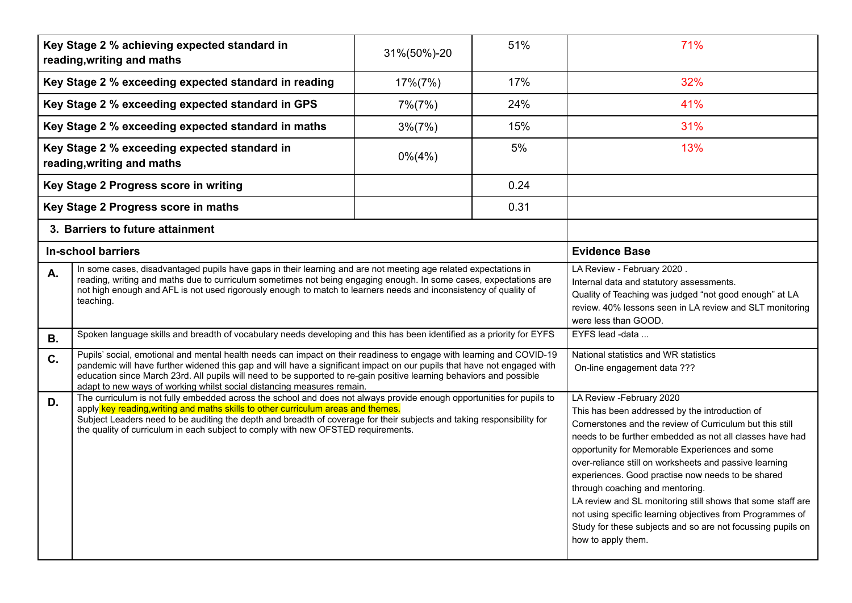|                                                                                                                                                                                                                                                                                                                                                                                                                                                         | Key Stage 2 % achieving expected standard in<br>reading, writing and maths                                            | 31%(50%)-20 | 51%                                                                                                                                                                                                                  | 71%                                                                                                                                                                                                                                                                                                                                                                                                                                                                                                                                                                                                                      |
|---------------------------------------------------------------------------------------------------------------------------------------------------------------------------------------------------------------------------------------------------------------------------------------------------------------------------------------------------------------------------------------------------------------------------------------------------------|-----------------------------------------------------------------------------------------------------------------------|-------------|----------------------------------------------------------------------------------------------------------------------------------------------------------------------------------------------------------------------|--------------------------------------------------------------------------------------------------------------------------------------------------------------------------------------------------------------------------------------------------------------------------------------------------------------------------------------------------------------------------------------------------------------------------------------------------------------------------------------------------------------------------------------------------------------------------------------------------------------------------|
|                                                                                                                                                                                                                                                                                                                                                                                                                                                         | Key Stage 2 % exceeding expected standard in reading                                                                  | 17%(7%)     | 17%                                                                                                                                                                                                                  | 32%                                                                                                                                                                                                                                                                                                                                                                                                                                                                                                                                                                                                                      |
|                                                                                                                                                                                                                                                                                                                                                                                                                                                         | Key Stage 2 % exceeding expected standard in GPS                                                                      | $7\% (7\%)$ | 24%                                                                                                                                                                                                                  | 41%                                                                                                                                                                                                                                                                                                                                                                                                                                                                                                                                                                                                                      |
|                                                                                                                                                                                                                                                                                                                                                                                                                                                         | Key Stage 2 % exceeding expected standard in maths                                                                    | $3\%(7\%)$  | 15%                                                                                                                                                                                                                  | 31%                                                                                                                                                                                                                                                                                                                                                                                                                                                                                                                                                                                                                      |
|                                                                                                                                                                                                                                                                                                                                                                                                                                                         | Key Stage 2 % exceeding expected standard in<br>reading, writing and maths                                            | $0\% (4\%)$ | 5%                                                                                                                                                                                                                   | 13%                                                                                                                                                                                                                                                                                                                                                                                                                                                                                                                                                                                                                      |
|                                                                                                                                                                                                                                                                                                                                                                                                                                                         | Key Stage 2 Progress score in writing                                                                                 |             | 0.24                                                                                                                                                                                                                 |                                                                                                                                                                                                                                                                                                                                                                                                                                                                                                                                                                                                                          |
|                                                                                                                                                                                                                                                                                                                                                                                                                                                         | Key Stage 2 Progress score in maths                                                                                   |             | 0.31                                                                                                                                                                                                                 |                                                                                                                                                                                                                                                                                                                                                                                                                                                                                                                                                                                                                          |
| 3. Barriers to future attainment                                                                                                                                                                                                                                                                                                                                                                                                                        |                                                                                                                       |             |                                                                                                                                                                                                                      |                                                                                                                                                                                                                                                                                                                                                                                                                                                                                                                                                                                                                          |
|                                                                                                                                                                                                                                                                                                                                                                                                                                                         | <b>In-school barriers</b>                                                                                             |             |                                                                                                                                                                                                                      | <b>Evidence Base</b>                                                                                                                                                                                                                                                                                                                                                                                                                                                                                                                                                                                                     |
| In some cases, disadvantaged pupils have gaps in their learning and are not meeting age related expectations in<br><b>A.</b><br>reading, writing and maths due to curriculum sometimes not being engaging enough. In some cases, expectations are<br>not high enough and AFL is not used rigorously enough to match to learners needs and inconsistency of quality of<br>teaching.                                                                      |                                                                                                                       |             | LA Review - February 2020.<br>Internal data and statutory assessments.<br>Quality of Teaching was judged "not good enough" at LA<br>review. 40% lessons seen in LA review and SLT monitoring<br>were less than GOOD. |                                                                                                                                                                                                                                                                                                                                                                                                                                                                                                                                                                                                                          |
| <b>B.</b>                                                                                                                                                                                                                                                                                                                                                                                                                                               | Spoken language skills and breadth of vocabulary needs developing and this has been identified as a priority for EYFS |             |                                                                                                                                                                                                                      | EYFS lead -data                                                                                                                                                                                                                                                                                                                                                                                                                                                                                                                                                                                                          |
| Pupils' social, emotional and mental health needs can impact on their readiness to engage with learning and COVID-19<br>C.<br>pandemic will have further widened this gap and will have a significant impact on our pupils that have not engaged with<br>education since March 23rd. All pupils will need to be supported to re-gain positive learning behaviors and possible<br>adapt to new ways of working whilst social distancing measures remain. |                                                                                                                       |             |                                                                                                                                                                                                                      | National statistics and WR statistics<br>On-line engagement data ???                                                                                                                                                                                                                                                                                                                                                                                                                                                                                                                                                     |
| The curriculum is not fully embedded across the school and does not always provide enough opportunities for pupils to<br>D.<br>apply key reading, writing and maths skills to other curriculum areas and themes.<br>Subject Leaders need to be auditing the depth and breadth of coverage for their subjects and taking responsibility for<br>the quality of curriculum in each subject to comply with new OFSTED requirements.                         |                                                                                                                       |             |                                                                                                                                                                                                                      | LA Review - February 2020<br>This has been addressed by the introduction of<br>Cornerstones and the review of Curriculum but this still<br>needs to be further embedded as not all classes have had<br>opportunity for Memorable Experiences and some<br>over-reliance still on worksheets and passive learning<br>experiences. Good practise now needs to be shared<br>through coaching and mentoring.<br>LA review and SL monitoring still shows that some staff are<br>not using specific learning objectives from Programmes of<br>Study for these subjects and so are not focussing pupils on<br>how to apply them. |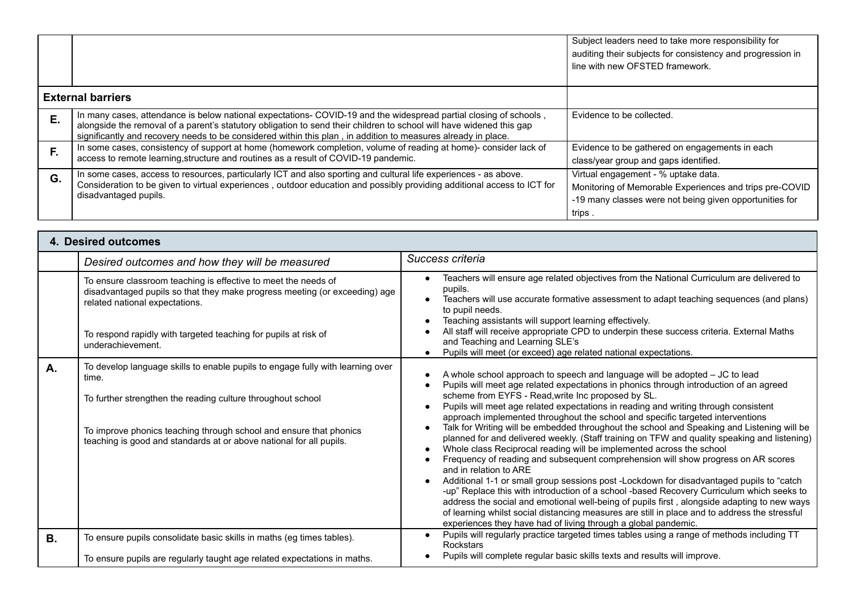|    |                                                                                                                                                                                                                                                                                                                                                            | Subject leaders need to take more responsibility for<br>auditing their subjects for consistency and progression in<br>line with new OFSTED framework.              |
|----|------------------------------------------------------------------------------------------------------------------------------------------------------------------------------------------------------------------------------------------------------------------------------------------------------------------------------------------------------------|--------------------------------------------------------------------------------------------------------------------------------------------------------------------|
|    | <b>External barriers</b>                                                                                                                                                                                                                                                                                                                                   |                                                                                                                                                                    |
| Ε. | In many cases, attendance is below national expectations- COVID-19 and the widespread partial closing of schools,<br>alongside the removal of a parent's statutory obligation to send their children to school will have widened this gap<br>significantly and recovery needs to be considered within this plan, in addition to measures already in place. | Evidence to be collected.                                                                                                                                          |
| F. | In some cases, consistency of support at home (homework completion, volume of reading at home)- consider lack of<br>access to remote learning, structure and routines as a result of COVID-19 pandemic.                                                                                                                                                    | Evidence to be gathered on engagements in each<br>class/year group and gaps identified.                                                                            |
| G. | In some cases, access to resources, particularly ICT and also sporting and cultural life experiences - as above.<br>Consideration to be given to virtual experiences, outdoor education and possibly providing additional access to ICT for<br>disadvantaged pupils.                                                                                       | Virtual engagement - % uptake data.<br>Monitoring of Memorable Experiences and trips pre-COVID<br>-19 many classes were not being given opportunities for<br>trips |

|           | 4. Desired outcomes                                                                                                                                                                                                                                                                                 |                                                                                                                                                                                                                                                                                                                                                                                                                                                                                                                                                                                                                                                                                                                                                                                                                                                                                                                                                                                                                                                                                                                                                                                                                                                      |
|-----------|-----------------------------------------------------------------------------------------------------------------------------------------------------------------------------------------------------------------------------------------------------------------------------------------------------|------------------------------------------------------------------------------------------------------------------------------------------------------------------------------------------------------------------------------------------------------------------------------------------------------------------------------------------------------------------------------------------------------------------------------------------------------------------------------------------------------------------------------------------------------------------------------------------------------------------------------------------------------------------------------------------------------------------------------------------------------------------------------------------------------------------------------------------------------------------------------------------------------------------------------------------------------------------------------------------------------------------------------------------------------------------------------------------------------------------------------------------------------------------------------------------------------------------------------------------------------|
|           | Desired outcomes and how they will be measured                                                                                                                                                                                                                                                      | Success criteria                                                                                                                                                                                                                                                                                                                                                                                                                                                                                                                                                                                                                                                                                                                                                                                                                                                                                                                                                                                                                                                                                                                                                                                                                                     |
|           | To ensure classroom teaching is effective to meet the needs of<br>disadvantaged pupils so that they make progress meeting (or exceeding) age<br>related national expectations.<br>To respond rapidly with targeted teaching for pupils at risk of<br>underachievement.                              | Teachers will ensure age related objectives from the National Curriculum are delivered to<br>pupils.<br>Teachers will use accurate formative assessment to adapt teaching sequences (and plans)<br>to pupil needs.<br>Teaching assistants will support learning effectively.<br>All staff will receive appropriate CPD to underpin these success criteria. External Maths<br>and Teaching and Learning SLE's<br>Pupils will meet (or exceed) age related national expectations.                                                                                                                                                                                                                                                                                                                                                                                                                                                                                                                                                                                                                                                                                                                                                                      |
| А.        | To develop language skills to enable pupils to engage fully with learning over<br>time.<br>To further strengthen the reading culture throughout school<br>To improve phonics teaching through school and ensure that phonics<br>teaching is good and standards at or above national for all pupils. | A whole school approach to speech and language will be adopted - JC to lead<br>Pupils will meet age related expectations in phonics through introduction of an agreed<br>scheme from EYFS - Read, write Inc proposed by SL.<br>Pupils will meet age related expectations in reading and writing through consistent<br>approach implemented throughout the school and specific targeted interventions<br>Talk for Writing will be embedded throughout the school and Speaking and Listening will be<br>planned for and delivered weekly. (Staff training on TFW and quality speaking and listening)<br>Whole class Reciprocal reading will be implemented across the school<br>Frequency of reading and subsequent comprehension will show progress on AR scores<br>and in relation to ARE<br>Additional 1-1 or small group sessions post -Lockdown for disadvantaged pupils to "catch<br>-up" Replace this with introduction of a school -based Recovery Curriculum which seeks to<br>address the social and emotional well-being of pupils first, alongside adapting to new ways<br>of learning whilst social distancing measures are still in place and to address the stressful<br>experiences they have had of living through a global pandemic. |
| <b>B.</b> | To ensure pupils consolidate basic skills in maths (eg times tables).                                                                                                                                                                                                                               | Pupils will regularly practice targeted times tables using a range of methods including TT<br><b>Rockstars</b>                                                                                                                                                                                                                                                                                                                                                                                                                                                                                                                                                                                                                                                                                                                                                                                                                                                                                                                                                                                                                                                                                                                                       |
|           | To ensure pupils are regularly taught age related expectations in maths.                                                                                                                                                                                                                            | Pupils will complete regular basic skills texts and results will improve.                                                                                                                                                                                                                                                                                                                                                                                                                                                                                                                                                                                                                                                                                                                                                                                                                                                                                                                                                                                                                                                                                                                                                                            |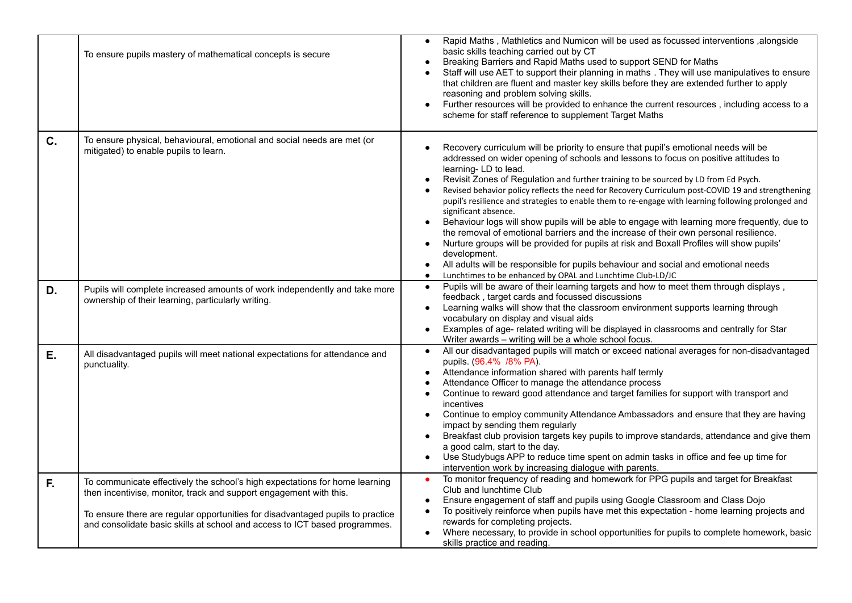|    | To ensure pupils mastery of mathematical concepts is secure                                                                                                                                                                                                                                                       | Rapid Maths, Mathletics and Numicon will be used as focussed interventions, alongside<br>$\bullet$<br>basic skills teaching carried out by CT<br>Breaking Barriers and Rapid Maths used to support SEND for Maths<br>Staff will use AET to support their planning in maths . They will use manipulatives to ensure<br>that children are fluent and master key skills before they are extended further to apply<br>reasoning and problem solving skills.<br>Further resources will be provided to enhance the current resources, including access to a<br>$\bullet$<br>scheme for staff reference to supplement Target Maths                                                                                                                                                                                                                                                                                                                                                                                                                            |
|----|-------------------------------------------------------------------------------------------------------------------------------------------------------------------------------------------------------------------------------------------------------------------------------------------------------------------|--------------------------------------------------------------------------------------------------------------------------------------------------------------------------------------------------------------------------------------------------------------------------------------------------------------------------------------------------------------------------------------------------------------------------------------------------------------------------------------------------------------------------------------------------------------------------------------------------------------------------------------------------------------------------------------------------------------------------------------------------------------------------------------------------------------------------------------------------------------------------------------------------------------------------------------------------------------------------------------------------------------------------------------------------------|
| C. | To ensure physical, behavioural, emotional and social needs are met (or<br>mitigated) to enable pupils to learn.                                                                                                                                                                                                  | Recovery curriculum will be priority to ensure that pupil's emotional needs will be<br>addressed on wider opening of schools and lessons to focus on positive attitudes to<br>learning-LD to lead.<br>Revisit Zones of Regulation and further training to be sourced by LD from Ed Psych.<br>$\bullet$<br>Revised behavior policy reflects the need for Recovery Curriculum post-COVID 19 and strengthening<br>$\bullet$<br>pupil's resilience and strategies to enable them to re-engage with learning following prolonged and<br>significant absence.<br>Behaviour logs will show pupils will be able to engage with learning more frequently, due to<br>the removal of emotional barriers and the increase of their own personal resilience.<br>Nurture groups will be provided for pupils at risk and Boxall Profiles will show pupils'<br>$\bullet$<br>development.<br>All adults will be responsible for pupils behaviour and social and emotional needs<br>$\bullet$<br>Lunchtimes to be enhanced by OPAL and Lunchtime Club-LD/JC<br>$\bullet$ |
| D. | Pupils will complete increased amounts of work independently and take more<br>ownership of their learning, particularly writing.                                                                                                                                                                                  | Pupils will be aware of their learning targets and how to meet them through displays,<br>$\bullet$<br>feedback, target cards and focussed discussions<br>Learning walks will show that the classroom environment supports learning through<br>$\bullet$<br>vocabulary on display and visual aids<br>Examples of age- related writing will be displayed in classrooms and centrally for Star<br>$\bullet$<br>Writer awards - writing will be a whole school focus.                                                                                                                                                                                                                                                                                                                                                                                                                                                                                                                                                                                      |
| Ε. | All disadvantaged pupils will meet national expectations for attendance and<br>punctuality.                                                                                                                                                                                                                       | All our disadvantaged pupils will match or exceed national averages for non-disadvantaged<br>$\bullet$<br>pupils. (96.4% /8% PA).<br>Attendance information shared with parents half termly<br>$\bullet$<br>Attendance Officer to manage the attendance process<br>$\bullet$<br>Continue to reward good attendance and target families for support with transport and<br>$\bullet$<br>incentives<br>Continue to employ community Attendance Ambassadors and ensure that they are having<br>$\bullet$<br>impact by sending them regularly<br>Breakfast club provision targets key pupils to improve standards, attendance and give them<br>a good calm, start to the day.<br>Use Studybugs APP to reduce time spent on admin tasks in office and fee up time for<br>intervention work by increasing dialogue with parents.                                                                                                                                                                                                                              |
| F. | To communicate effectively the school's high expectations for home learning<br>then incentivise, monitor, track and support engagement with this.<br>To ensure there are regular opportunities for disadvantaged pupils to practice<br>and consolidate basic skills at school and access to ICT based programmes. | To monitor frequency of reading and homework for PPG pupils and target for Breakfast<br>$\bullet$<br>Club and lunchtime Club<br>Ensure engagement of staff and pupils using Google Classroom and Class Dojo<br>$\bullet$<br>To positively reinforce when pupils have met this expectation - home learning projects and<br>$\bullet$<br>rewards for completing projects.<br>Where necessary, to provide in school opportunities for pupils to complete homework, basic<br>skills practice and reading.                                                                                                                                                                                                                                                                                                                                                                                                                                                                                                                                                  |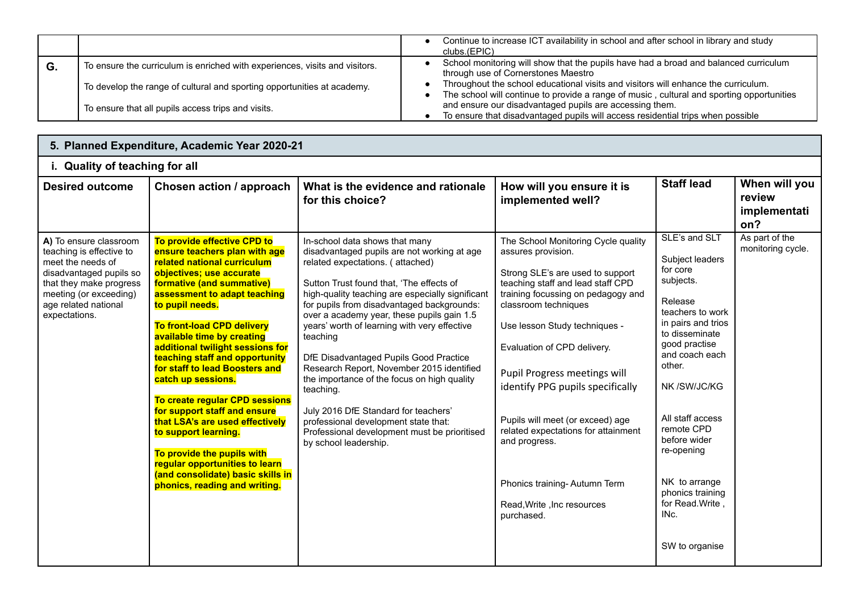|    |                                                                             | Continue to increase ICT availability in school and after school in library and study<br>clubs.(EPIC)                                                                           |
|----|-----------------------------------------------------------------------------|---------------------------------------------------------------------------------------------------------------------------------------------------------------------------------|
| G. | To ensure the curriculum is enriched with experiences, visits and visitors. | School monitoring will show that the pupils have had a broad and balanced curriculum<br>through use of Cornerstones Maestro                                                     |
|    | To develop the range of cultural and sporting opportunities at academy.     | Throughout the school educational visits and visitors will enhance the curriculum.<br>The school will continue to provide a range of music, cultural and sporting opportunities |
|    | To ensure that all pupils access trips and visits.                          | and ensure our disadvantaged pupils are accessing them.<br>To ensure that disadvantaged pupils will access residential trips when possible                                      |

| 5. Planned Expenditure, Academic Year 2020-21                                                                                                                                                    |                                                                                                                                                                                                                                                                                                                                                                                                                                                                                                                                                                                                                                                                             |                                                                                                                                                                                                                                                                                                                                                                                                                                                                                                                                                                                                                                                                                       |                                                                                                                                                                                                                                                                                                                                                                                                                                                                                                              |                                                                                                                                                                                                                                                                                                                                                  |                                                |  |  |
|--------------------------------------------------------------------------------------------------------------------------------------------------------------------------------------------------|-----------------------------------------------------------------------------------------------------------------------------------------------------------------------------------------------------------------------------------------------------------------------------------------------------------------------------------------------------------------------------------------------------------------------------------------------------------------------------------------------------------------------------------------------------------------------------------------------------------------------------------------------------------------------------|---------------------------------------------------------------------------------------------------------------------------------------------------------------------------------------------------------------------------------------------------------------------------------------------------------------------------------------------------------------------------------------------------------------------------------------------------------------------------------------------------------------------------------------------------------------------------------------------------------------------------------------------------------------------------------------|--------------------------------------------------------------------------------------------------------------------------------------------------------------------------------------------------------------------------------------------------------------------------------------------------------------------------------------------------------------------------------------------------------------------------------------------------------------------------------------------------------------|--------------------------------------------------------------------------------------------------------------------------------------------------------------------------------------------------------------------------------------------------------------------------------------------------------------------------------------------------|------------------------------------------------|--|--|
| i. Quality of teaching for all                                                                                                                                                                   |                                                                                                                                                                                                                                                                                                                                                                                                                                                                                                                                                                                                                                                                             |                                                                                                                                                                                                                                                                                                                                                                                                                                                                                                                                                                                                                                                                                       |                                                                                                                                                                                                                                                                                                                                                                                                                                                                                                              |                                                                                                                                                                                                                                                                                                                                                  |                                                |  |  |
| <b>Desired outcome</b>                                                                                                                                                                           | Chosen action / approach                                                                                                                                                                                                                                                                                                                                                                                                                                                                                                                                                                                                                                                    | What is the evidence and rationale<br>for this choice?                                                                                                                                                                                                                                                                                                                                                                                                                                                                                                                                                                                                                                | How will you ensure it is<br>implemented well?                                                                                                                                                                                                                                                                                                                                                                                                                                                               | <b>Staff lead</b>                                                                                                                                                                                                                                                                                                                                | When will you<br>review<br>implementati<br>on? |  |  |
| A) To ensure classroom<br>teaching is effective to<br>meet the needs of<br>disadvantaged pupils so<br>that they make progress<br>meeting (or exceeding)<br>age related national<br>expectations. | To provide effective CPD to<br>ensure teachers plan with age<br>related national curriculum<br>objectives; use accurate<br>formative (and summative)<br>assessment to adapt teaching<br>to pupil needs.<br><b>To front-load CPD delivery</b><br>available time by creating<br>additional twilight sessions for<br>teaching staff and opportunity<br>for staff to lead Boosters and<br>catch up sessions.<br>To create regular CPD sessions<br>for support staff and ensure<br>that LSA's are used effectively<br>to support learning.<br>To provide the pupils with<br>regular opportunities to learn<br>(and consolidate) basic skills in<br>phonics, reading and writing. | In-school data shows that many<br>disadvantaged pupils are not working at age<br>related expectations. (attached)<br>Sutton Trust found that, 'The effects of<br>high-quality teaching are especially significant<br>for pupils from disadvantaged backgrounds:<br>over a academy year, these pupils gain 1.5<br>years' worth of learning with very effective<br>teaching<br>DfE Disadvantaged Pupils Good Practice<br>Research Report, November 2015 identified<br>the importance of the focus on high quality<br>teaching.<br>July 2016 DfE Standard for teachers'<br>professional development state that:<br>Professional development must be prioritised<br>by school leadership. | The School Monitoring Cycle quality<br>assures provision.<br>Strong SLE's are used to support<br>teaching staff and lead staff CPD<br>training focussing on pedagogy and<br>classroom techniques<br>Use lesson Study techniques -<br>Evaluation of CPD delivery.<br>Pupil Progress meetings will<br>identify PPG pupils specifically<br>Pupils will meet (or exceed) age<br>related expectations for attainment<br>and progress.<br>Phonics training-Autumn Term<br>Read, Write, Inc resources<br>purchased. | SLE's and SLT<br>Subject leaders<br>for core<br>subjects.<br>Release<br>teachers to work<br>in pairs and trios<br>to disseminate<br>good practise<br>and coach each<br>other.<br>NK /SW/JC/KG<br>All staff access<br>remote CPD<br>before wider<br>re-opening<br>NK to arrange<br>phonics training<br>for Read. Write,<br>INc.<br>SW to organise | As part of the<br>monitoring cycle.            |  |  |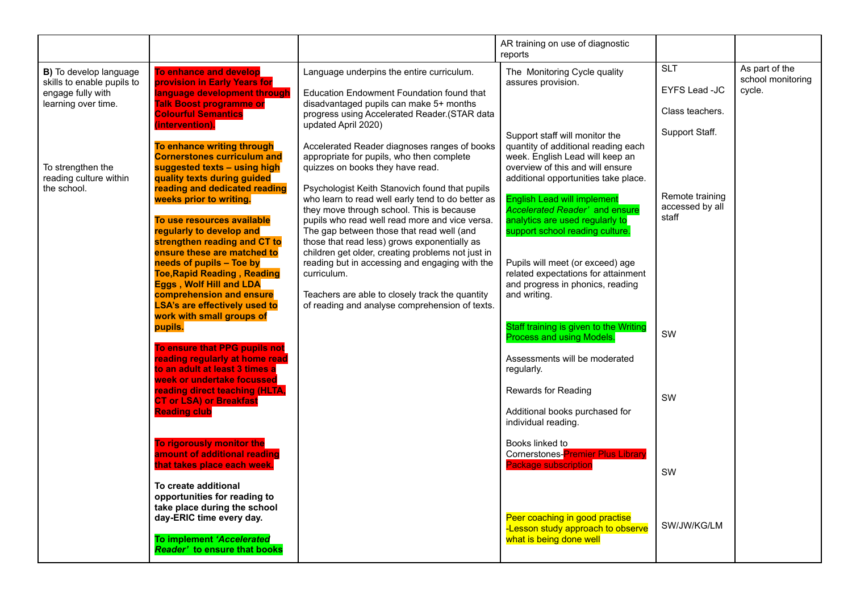|                                                                                                                                                                |                                                                                                                                                                                                                                                                                                                                                       |                                                                                                                                                                                                                                                                                                                                                                                                                                                                          | AR training on use of diagnostic<br>reports                                                                                                                                                                                                                                      |                                                                  |                                               |
|----------------------------------------------------------------------------------------------------------------------------------------------------------------|-------------------------------------------------------------------------------------------------------------------------------------------------------------------------------------------------------------------------------------------------------------------------------------------------------------------------------------------------------|--------------------------------------------------------------------------------------------------------------------------------------------------------------------------------------------------------------------------------------------------------------------------------------------------------------------------------------------------------------------------------------------------------------------------------------------------------------------------|----------------------------------------------------------------------------------------------------------------------------------------------------------------------------------------------------------------------------------------------------------------------------------|------------------------------------------------------------------|-----------------------------------------------|
| B) To develop language<br>skills to enable pupils to<br>engage fully with<br>learning over time.<br>To strengthen the<br>reading culture within<br>the school. | To enhance and develop<br>provision in Early Years for<br>language development through<br><b>Talk Boost programme or</b><br><b>Colourful Semantics</b><br>(intervention).<br>To enhance writing through<br><b>Cornerstones curriculum and</b><br>suggested texts - using high<br>quality texts during guided<br>reading and dedicated reading         | Language underpins the entire curriculum.<br>Education Endowment Foundation found that<br>disadvantaged pupils can make 5+ months<br>progress using Accelerated Reader.(STAR data<br>updated April 2020)<br>Accelerated Reader diagnoses ranges of books<br>appropriate for pupils, who then complete<br>quizzes on books they have read.<br>Psychologist Keith Stanovich found that pupils                                                                              | The Monitoring Cycle quality<br>assures provision.<br>Support staff will monitor the<br>quantity of additional reading each<br>week. English Lead will keep an<br>overview of this and will ensure<br>additional opportunities take place.                                       | <b>SLT</b><br>EYFS Lead -JC<br>Class teachers.<br>Support Staff. | As part of the<br>school monitoring<br>cycle. |
|                                                                                                                                                                | weeks prior to writing.<br>To use resources available<br>regularly to develop and<br>strengthen reading and CT to<br>ensure these are matched to<br>needs of pupils - Toe by<br><b>Toe, Rapid Reading, Reading</b><br><b>Eggs, Wolf Hill and LDA</b><br>comprehension and ensure<br><b>LSA's are effectively used to</b><br>work with small groups of | who learn to read well early tend to do better as<br>they move through school. This is because<br>pupils who read well read more and vice versa.<br>The gap between those that read well (and<br>those that read less) grows exponentially as<br>children get older, creating problems not just in<br>reading but in accessing and engaging with the<br>curriculum.<br>Teachers are able to closely track the quantity<br>of reading and analyse comprehension of texts. | <b>English Lead will implement</b><br><b>Accelerated Reader' and ensure</b><br>analytics are used regularly to<br>support school reading culture.<br>Pupils will meet (or exceed) age<br>related expectations for attainment<br>and progress in phonics, reading<br>and writing. | Remote training<br>accessed by all<br>staff                      |                                               |
|                                                                                                                                                                | pupils.<br>To ensure that PPG pupils not<br>reading regularly at home read<br>to an adult at least 3 times a<br>week or undertake focussed<br>reading direct teaching (HLTA,<br><b>CT or LSA) or Breakfast</b><br><b>Reading club</b>                                                                                                                 |                                                                                                                                                                                                                                                                                                                                                                                                                                                                          | Staff training is given to the Writing<br>Process and using Models.<br>Assessments will be moderated<br>regularly.<br>Rewards for Reading<br>Additional books purchased for<br>individual reading.                                                                               | SW<br>SW                                                         |                                               |
|                                                                                                                                                                | To rigorously monitor the<br>amount of additional reading<br>that takes place each week.<br>To create additional<br>opportunities for reading to<br>take place during the school<br>day-ERIC time every day.<br>To implement 'Accelerated<br><b>Reader' to ensure that books</b>                                                                      |                                                                                                                                                                                                                                                                                                                                                                                                                                                                          | Books linked to<br><b>Cornerstones-Premier Plus Library</b><br><b>Package subscription</b><br>Peer coaching in good practise<br>-Lesson study approach to observe<br>what is being done well                                                                                     | SW<br>SW/JW/KG/LM                                                |                                               |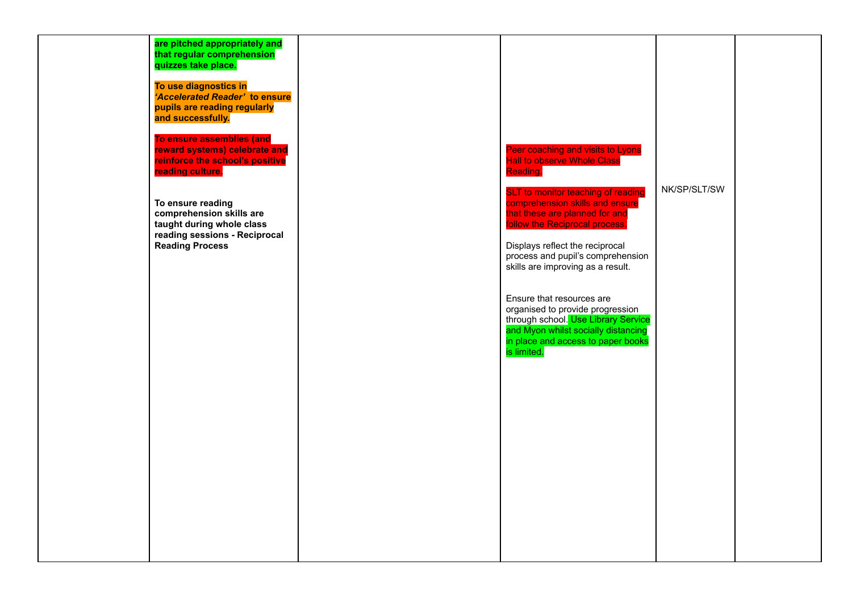| are pitched appropriately and<br>that regular comprehension<br>quizzes take place.                                                    |                                                                                                                                                                                                                                                               |              |  |
|---------------------------------------------------------------------------------------------------------------------------------------|---------------------------------------------------------------------------------------------------------------------------------------------------------------------------------------------------------------------------------------------------------------|--------------|--|
| To use diagnostics in<br>'Accelerated Reader' to ensure<br>pupils are reading regularly<br>and successfully.                          |                                                                                                                                                                                                                                                               |              |  |
| To ensure assemblies (and<br>reward systems) celebrate and<br>reinforce the school's positive<br>reading culture.                     | Peer coaching and visits to Lyons<br>Hall to observe Whole Class<br>Reading.                                                                                                                                                                                  | NK/SP/SLT/SW |  |
| To ensure reading<br>comprehension skills are<br>taught during whole class<br>reading sessions - Reciprocal<br><b>Reading Process</b> | <b>SLT</b> to monitor teaching of reading<br>comprehension skills and ensure<br>that these are planned for and<br>follow the Reciprocal process.<br>Displays reflect the reciprocal<br>process and pupil's comprehension<br>skills are improving as a result. |              |  |
|                                                                                                                                       | Ensure that resources are<br>organised to provide progression<br>through school. Use Library Service<br>and Myon whilst socially distancing<br>in place and access to paper books<br>is limited.                                                              |              |  |
|                                                                                                                                       |                                                                                                                                                                                                                                                               |              |  |
|                                                                                                                                       |                                                                                                                                                                                                                                                               |              |  |
|                                                                                                                                       |                                                                                                                                                                                                                                                               |              |  |
|                                                                                                                                       |                                                                                                                                                                                                                                                               |              |  |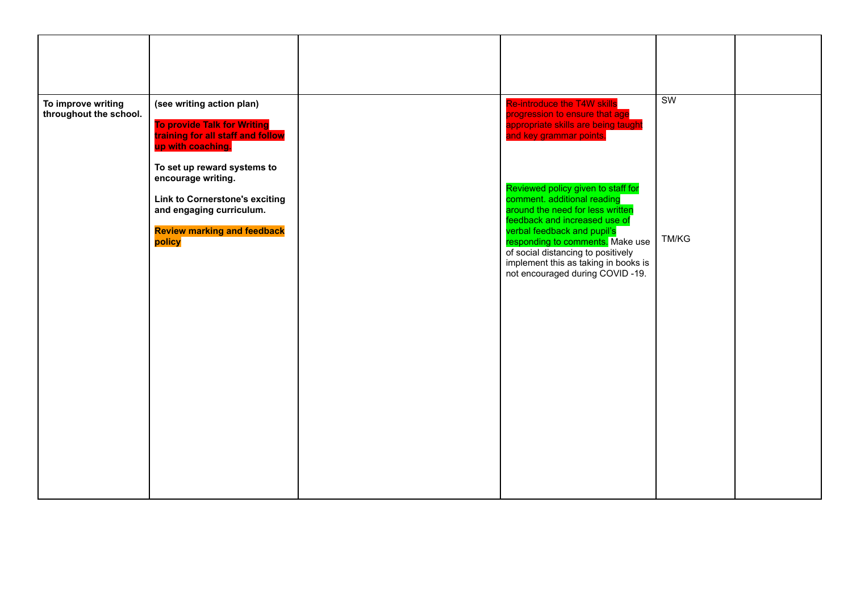| To improve writing<br>throughout the school. | (see writing action plan)<br><b>To provide Talk for Writing</b><br>training for all staff and follow<br>up with coaching.<br>To set up reward systems to<br>encourage writing. | <b>Re-introduce the T4W skills</b><br>progression to ensure that age<br>appropriate skills are being taught<br>and key grammar points.<br>Reviewed policy given to staff for                                                                                                         | $\overline{\text{SW}}$ |  |
|----------------------------------------------|--------------------------------------------------------------------------------------------------------------------------------------------------------------------------------|--------------------------------------------------------------------------------------------------------------------------------------------------------------------------------------------------------------------------------------------------------------------------------------|------------------------|--|
|                                              | <b>Link to Cornerstone's exciting</b><br>and engaging curriculum.<br><b>Review marking and feedback</b><br>policy                                                              | comment. additional reading<br>around the need for less written<br>feedback and increased use of<br>verbal feedback and pupil's<br>responding to comments. Make use<br>of social distancing to positively<br>implement this as taking in books is<br>not encouraged during COVID-19. | <b>TM/KG</b>           |  |
|                                              |                                                                                                                                                                                |                                                                                                                                                                                                                                                                                      |                        |  |
|                                              |                                                                                                                                                                                |                                                                                                                                                                                                                                                                                      |                        |  |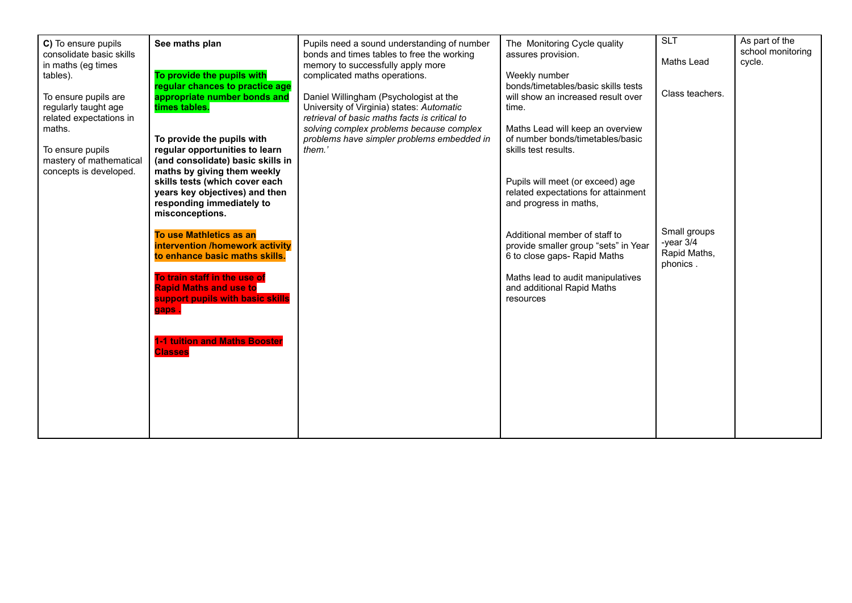|                          |                                      |                                               |                                      | <b>SLT</b>      | As part of the    |
|--------------------------|--------------------------------------|-----------------------------------------------|--------------------------------------|-----------------|-------------------|
| C) To ensure pupils      | See maths plan                       | Pupils need a sound understanding of number   | The Monitoring Cycle quality         |                 | school monitoring |
| consolidate basic skills |                                      | bonds and times tables to free the working    | assures provision.                   | Maths Lead      | cycle.            |
| in maths (eg times       |                                      | memory to successfully apply more             |                                      |                 |                   |
| tables).                 | To provide the pupils with           | complicated maths operations.                 | Weekly number                        |                 |                   |
|                          | regular chances to practice age      |                                               | bonds/timetables/basic skills tests  | Class teachers. |                   |
| To ensure pupils are     | appropriate number bonds and         | Daniel Willingham (Psychologist at the        | will show an increased result over   |                 |                   |
| regularly taught age     | times tables.                        | University of Virginia) states: Automatic     | time.                                |                 |                   |
| related expectations in  |                                      | retrieval of basic maths facts is critical to |                                      |                 |                   |
| maths.                   |                                      | solving complex problems because complex      | Maths Lead will keep an overview     |                 |                   |
|                          | To provide the pupils with           | problems have simpler problems embedded in    | of number bonds/timetables/basic     |                 |                   |
| To ensure pupils         | regular opportunities to learn       | them.'                                        | skills test results.                 |                 |                   |
| mastery of mathematical  | (and consolidate) basic skills in    |                                               |                                      |                 |                   |
| concepts is developed.   | maths by giving them weekly          |                                               |                                      |                 |                   |
|                          | skills tests (which cover each       |                                               | Pupils will meet (or exceed) age     |                 |                   |
|                          | years key objectives) and then       |                                               | related expectations for attainment  |                 |                   |
|                          | responding immediately to            |                                               | and progress in maths,               |                 |                   |
|                          | misconceptions.                      |                                               |                                      |                 |                   |
|                          |                                      |                                               |                                      |                 |                   |
|                          | To use Mathletics as an              |                                               | Additional member of staff to        | Small groups    |                   |
|                          | intervention /homework activity      |                                               | provide smaller group "sets" in Year | -year $3/4$     |                   |
|                          | to enhance basic maths skills.       |                                               | 6 to close gaps- Rapid Maths         | Rapid Maths,    |                   |
|                          |                                      |                                               |                                      | phonics.        |                   |
|                          | To train staff in the use of         |                                               | Maths lead to audit manipulatives    |                 |                   |
|                          | <b>Rapid Maths and use to</b>        |                                               | and additional Rapid Maths           |                 |                   |
|                          | support pupils with basic skills     |                                               | resources                            |                 |                   |
|                          | gaps.                                |                                               |                                      |                 |                   |
|                          |                                      |                                               |                                      |                 |                   |
|                          | <b>1-1 tuition and Maths Booster</b> |                                               |                                      |                 |                   |
|                          | <b>Classes</b>                       |                                               |                                      |                 |                   |
|                          |                                      |                                               |                                      |                 |                   |
|                          |                                      |                                               |                                      |                 |                   |
|                          |                                      |                                               |                                      |                 |                   |
|                          |                                      |                                               |                                      |                 |                   |
|                          |                                      |                                               |                                      |                 |                   |
|                          |                                      |                                               |                                      |                 |                   |
|                          |                                      |                                               |                                      |                 |                   |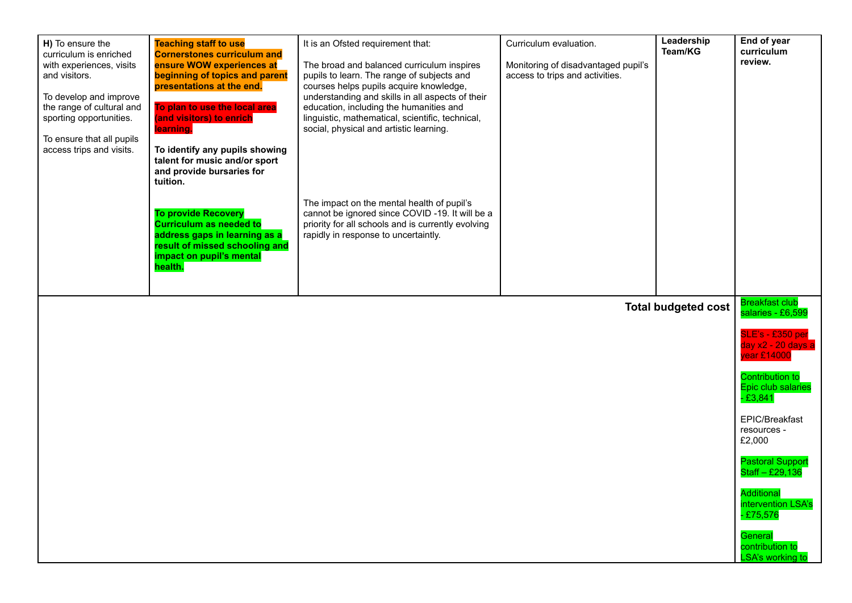| H) To ensure the<br>curriculum is enriched<br>with experiences, visits<br>and visitors.<br>To develop and improve<br>the range of cultural and<br>sporting opportunities.<br>To ensure that all pupils<br>access trips and visits. | <b>Teaching staff to use</b><br><b>Cornerstones curriculum and</b><br>ensure WOW experiences at<br>beginning of topics and parent<br>presentations at the end.<br>To plan to use the local area<br>(and visitors) to enrich<br>learning.<br>To identify any pupils showing<br>talent for music and/or sport<br>and provide bursaries for<br>tuition.<br><b>To provide Recovery</b><br><b>Curriculum as needed to</b><br>address gaps in learning as a<br>result of missed schooling and<br>impact on pupil's mental<br>health. | It is an Ofsted requirement that:<br>The broad and balanced curriculum inspires<br>pupils to learn. The range of subjects and<br>courses helps pupils acquire knowledge,<br>understanding and skills in all aspects of their<br>education, including the humanities and<br>linguistic, mathematical, scientific, technical,<br>social, physical and artistic learning.<br>The impact on the mental health of pupil's<br>cannot be ignored since COVID -19. It will be a<br>priority for all schools and is currently evolving<br>rapidly in response to uncertaintly. | Curriculum evaluation.<br>Monitoring of disadvantaged pupil's<br>access to trips and activities. | Leadership<br>Team/KG      | End of year<br>curriculum<br>review.                      |
|------------------------------------------------------------------------------------------------------------------------------------------------------------------------------------------------------------------------------------|--------------------------------------------------------------------------------------------------------------------------------------------------------------------------------------------------------------------------------------------------------------------------------------------------------------------------------------------------------------------------------------------------------------------------------------------------------------------------------------------------------------------------------|-----------------------------------------------------------------------------------------------------------------------------------------------------------------------------------------------------------------------------------------------------------------------------------------------------------------------------------------------------------------------------------------------------------------------------------------------------------------------------------------------------------------------------------------------------------------------|--------------------------------------------------------------------------------------------------|----------------------------|-----------------------------------------------------------|
|                                                                                                                                                                                                                                    |                                                                                                                                                                                                                                                                                                                                                                                                                                                                                                                                |                                                                                                                                                                                                                                                                                                                                                                                                                                                                                                                                                                       |                                                                                                  | <b>Total budgeted cost</b> | <b>Breakfast club</b><br>salaries - £6,599                |
|                                                                                                                                                                                                                                    |                                                                                                                                                                                                                                                                                                                                                                                                                                                                                                                                |                                                                                                                                                                                                                                                                                                                                                                                                                                                                                                                                                                       |                                                                                                  |                            | SLE's - £350 per<br>day x2 - 20 days a<br>year £14000     |
|                                                                                                                                                                                                                                    |                                                                                                                                                                                                                                                                                                                                                                                                                                                                                                                                |                                                                                                                                                                                                                                                                                                                                                                                                                                                                                                                                                                       |                                                                                                  |                            | <b>Contribution to</b><br>Epic club salaries<br>$-£3,841$ |
|                                                                                                                                                                                                                                    |                                                                                                                                                                                                                                                                                                                                                                                                                                                                                                                                |                                                                                                                                                                                                                                                                                                                                                                                                                                                                                                                                                                       |                                                                                                  |                            | EPIC/Breakfast<br>resources -<br>£2,000                   |
|                                                                                                                                                                                                                                    |                                                                                                                                                                                                                                                                                                                                                                                                                                                                                                                                |                                                                                                                                                                                                                                                                                                                                                                                                                                                                                                                                                                       |                                                                                                  |                            | <b>Pastoral Support</b><br>Staff - £29,136                |
|                                                                                                                                                                                                                                    |                                                                                                                                                                                                                                                                                                                                                                                                                                                                                                                                |                                                                                                                                                                                                                                                                                                                                                                                                                                                                                                                                                                       |                                                                                                  |                            | <b>Additional</b><br>intervention LSA's<br>$-£75,576$     |
|                                                                                                                                                                                                                                    |                                                                                                                                                                                                                                                                                                                                                                                                                                                                                                                                |                                                                                                                                                                                                                                                                                                                                                                                                                                                                                                                                                                       |                                                                                                  |                            | General<br>contribution to<br><b>LSA's working to</b>     |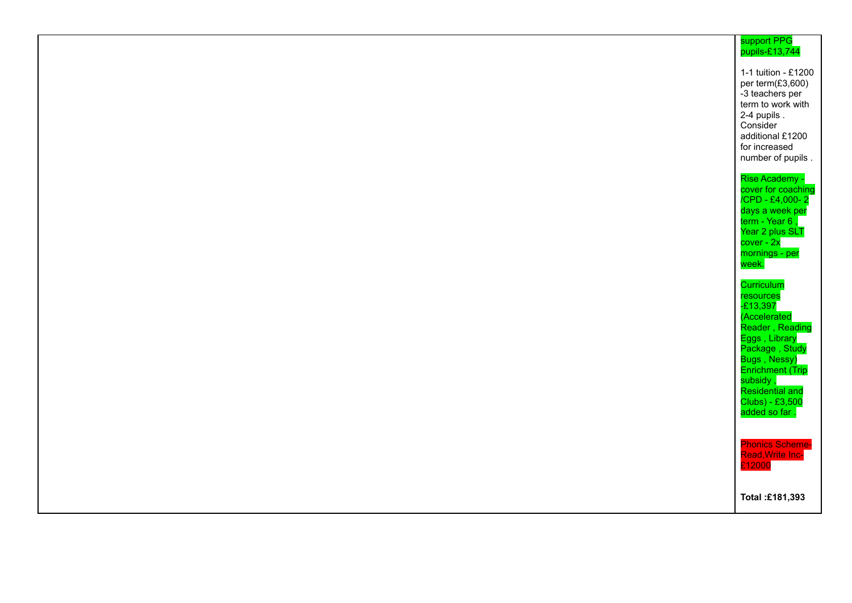| support PPG<br>pupils-£13,744                                                                                                                                                                                                   |
|---------------------------------------------------------------------------------------------------------------------------------------------------------------------------------------------------------------------------------|
| 1-1 tuition - £1200<br>per term(£3,600)<br>-3 teachers per<br>term to work with<br>2-4 pupils.<br>Consider<br>additional £1200<br>for increased<br>number of pupils.                                                            |
| Rise Academy -<br>cover for coaching<br>/CPD - £4,000-2<br>days a week per<br>term - Year 6,<br>Year 2 plus SLT<br>cover - 2x<br>mornings - per<br>week.                                                                        |
| Curriculum<br>resource <mark>s</mark><br>-£13,397<br>(Accelerated<br>Reader, Reading<br>Eggs, Library<br>Package, Study<br>Bugs, Nessy)<br>Enrichment (Trip<br>subsidy ,<br>Residential and<br>Clubs) - £3,500<br>added so far. |
| <b>Phonics Scheme-</b><br>Read, Write Inc-<br>£12000                                                                                                                                                                            |
| Total: £181,393                                                                                                                                                                                                                 |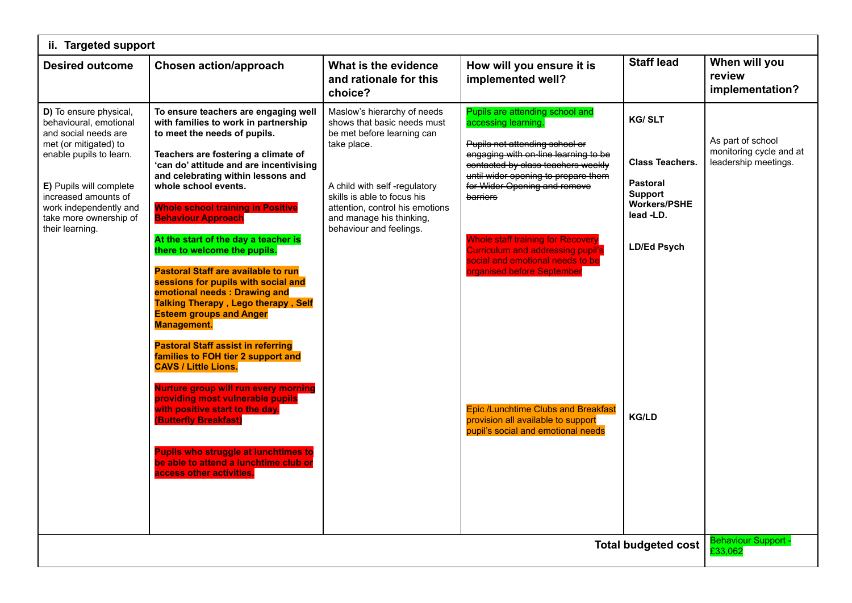| ii. Targeted support                                                                                                                                                                                                                                   |                                                                                                                                                                                                                                                                                                                                                                                                                                                                                                                                                                                                                                                                                                                                                                                                                                                                                                                                                                                                                        |                                                                                                                                                                                                                                                                  |                                                                                                                                                                                                                                                                                                                                                                                                                                                                                                                                               |                                                                                                                                                        |                                                                      |  |
|--------------------------------------------------------------------------------------------------------------------------------------------------------------------------------------------------------------------------------------------------------|------------------------------------------------------------------------------------------------------------------------------------------------------------------------------------------------------------------------------------------------------------------------------------------------------------------------------------------------------------------------------------------------------------------------------------------------------------------------------------------------------------------------------------------------------------------------------------------------------------------------------------------------------------------------------------------------------------------------------------------------------------------------------------------------------------------------------------------------------------------------------------------------------------------------------------------------------------------------------------------------------------------------|------------------------------------------------------------------------------------------------------------------------------------------------------------------------------------------------------------------------------------------------------------------|-----------------------------------------------------------------------------------------------------------------------------------------------------------------------------------------------------------------------------------------------------------------------------------------------------------------------------------------------------------------------------------------------------------------------------------------------------------------------------------------------------------------------------------------------|--------------------------------------------------------------------------------------------------------------------------------------------------------|----------------------------------------------------------------------|--|
| <b>Desired outcome</b>                                                                                                                                                                                                                                 | <b>Chosen action/approach</b>                                                                                                                                                                                                                                                                                                                                                                                                                                                                                                                                                                                                                                                                                                                                                                                                                                                                                                                                                                                          | What is the evidence<br>and rationale for this<br>choice?                                                                                                                                                                                                        | How will you ensure it is<br>implemented well?                                                                                                                                                                                                                                                                                                                                                                                                                                                                                                | <b>Staff lead</b>                                                                                                                                      | When will you<br>review<br>implementation?                           |  |
| D) To ensure physical,<br>behavioural, emotional<br>and social needs are<br>met (or mitigated) to<br>enable pupils to learn.<br>E) Pupils will complete<br>increased amounts of<br>work independently and<br>take more ownership of<br>their learning. | To ensure teachers are engaging well<br>with families to work in partnership<br>to meet the needs of pupils.<br>Teachers are fostering a climate of<br>'can do' attitude and are incentivising<br>and celebrating within lessons and<br>whole school events.<br><b>Whole school training in Positive</b><br><b>Behaviour Approach</b><br>At the start of the day a teacher is<br>there to welcome the pupils.<br><b>Pastoral Staff are available to run</b><br>sessions for pupils with social and<br>emotional needs: Drawing and<br><b>Talking Therapy, Lego therapy, Self</b><br><b>Esteem groups and Anger</b><br><b>Management.</b><br><b>Pastoral Staff assist in referring</b><br>families to FOH tier 2 support and<br><b>CAVS / Little Lions.</b><br>Nurture group will run every morning<br>providing most vulnerable pupils<br>with positive start to the day.<br>(Butterfly Breakfast)<br><b>Pupils who struggle at lunchtimes to</b><br>be able to attend a lunchtime club or<br>access other activities. | Maslow's hierarchy of needs<br>shows that basic needs must<br>be met before learning can<br>take place.<br>A child with self-regulatory<br>skills is able to focus his<br>attention, control his emotions<br>and manage his thinking,<br>behaviour and feelings. | Pupils are attending school and<br>accessing learning.<br>Pupils not attending school or<br>engaging with on line learning to be<br>eontacted by class teachers weekly<br>until wider opening to prepare them<br>for Wider Opening and remove<br>barriers<br><b>Whole staff training for Recovery</b><br><b>Curriculum and addressing pupil's</b><br>social and emotional needs to be<br>organised before September<br><b>Epic /Lunchtime Clubs and Breakfast</b><br>provision all available to support<br>pupil's social and emotional needs | <b>KG/SLT</b><br><b>Class Teachers.</b><br><b>Pastoral</b><br><b>Support</b><br><b>Workers/PSHE</b><br>lead -LD.<br><b>LD/Ed Psych</b><br><b>KG/LD</b> | As part of school<br>monitoring cycle and at<br>leadership meetings. |  |
| <b>Total budgeted cost</b>                                                                                                                                                                                                                             |                                                                                                                                                                                                                                                                                                                                                                                                                                                                                                                                                                                                                                                                                                                                                                                                                                                                                                                                                                                                                        |                                                                                                                                                                                                                                                                  |                                                                                                                                                                                                                                                                                                                                                                                                                                                                                                                                               | <b>Behaviour Support</b><br>£33,062                                                                                                                    |                                                                      |  |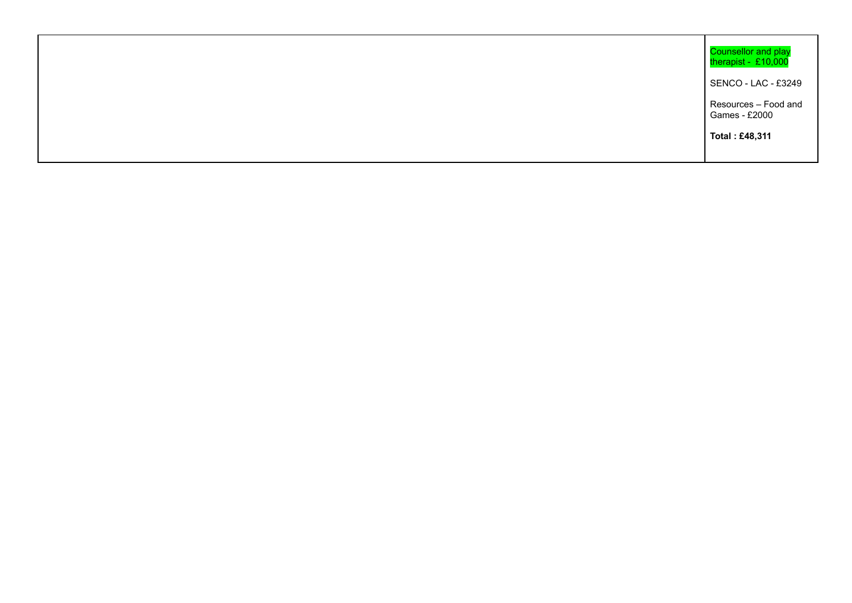| Counsellor and play<br>therapist - £10,000 |
|--------------------------------------------|
| SENCO - LAC - £3249                        |
| Resources - Food and<br>Games - £2000      |
| Total: £48,311                             |
|                                            |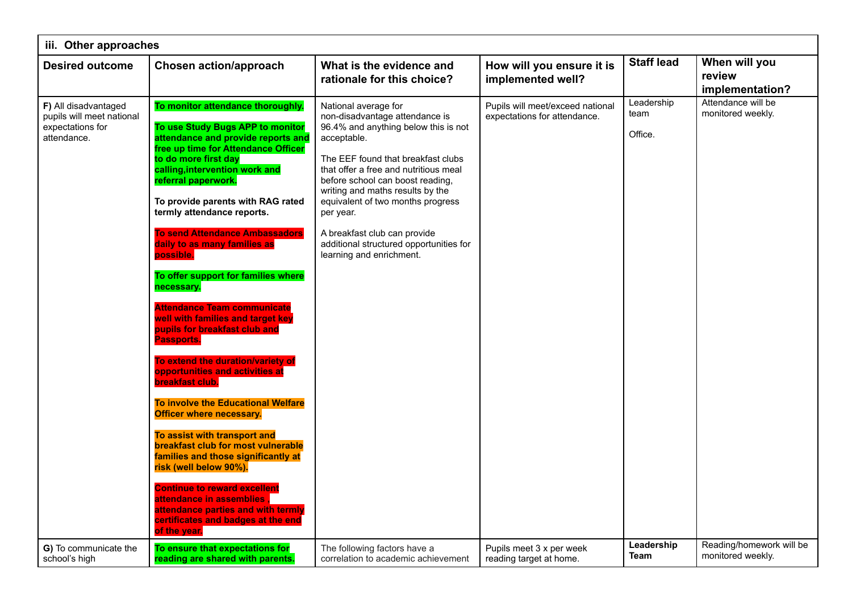| iii. Other approaches                                                                |                                                                                                                                                                                                                                                                                                                                                                                                                                                                                                                                                                                                                                                                                                                                                                                                                                                                                                                                                                                                                                                                |                                                                                                                                                                                                                                                                                                                                                                                                                               |                                                                  |                               |                                               |  |
|--------------------------------------------------------------------------------------|----------------------------------------------------------------------------------------------------------------------------------------------------------------------------------------------------------------------------------------------------------------------------------------------------------------------------------------------------------------------------------------------------------------------------------------------------------------------------------------------------------------------------------------------------------------------------------------------------------------------------------------------------------------------------------------------------------------------------------------------------------------------------------------------------------------------------------------------------------------------------------------------------------------------------------------------------------------------------------------------------------------------------------------------------------------|-------------------------------------------------------------------------------------------------------------------------------------------------------------------------------------------------------------------------------------------------------------------------------------------------------------------------------------------------------------------------------------------------------------------------------|------------------------------------------------------------------|-------------------------------|-----------------------------------------------|--|
| <b>Desired outcome</b>                                                               | <b>Chosen action/approach</b>                                                                                                                                                                                                                                                                                                                                                                                                                                                                                                                                                                                                                                                                                                                                                                                                                                                                                                                                                                                                                                  | What is the evidence and<br>rationale for this choice?                                                                                                                                                                                                                                                                                                                                                                        | How will you ensure it is<br>implemented well?                   | <b>Staff lead</b>             | When will you<br>review<br>implementation?    |  |
| F) All disadvantaged<br>pupils will meet national<br>expectations for<br>attendance. | To monitor attendance thoroughly.<br>To use Study Bugs APP to monitor<br>attendance and provide reports and<br>free up time for Attendance Officer<br>to do more first day<br>calling, intervention work and<br>referral paperwork.<br>To provide parents with RAG rated<br>termly attendance reports.<br><b>To send Attendance Ambassadors</b><br>daily to as many families as<br>possible.<br>To offer support for families where<br>necessary.<br><b>Attendance Team communicate</b><br>well with families and target key<br>pupils for breakfast club and<br>Passports.<br>To extend the duration/variety of<br>opportunities and activities at<br>breakfast club.<br><b>To involve the Educational Welfare</b><br><b>Officer where necessary.</b><br>To assist with transport and<br>breakfast club for most vulnerable<br>families and those significantly at<br>risk (well below 90%).<br><b>Continue to reward excellent</b><br>attendance in assemblies .<br>attendance parties and with termly<br>certificates and badges at the end<br>of the year. | National average for<br>non-disadvantage attendance is<br>96.4% and anything below this is not<br>acceptable.<br>The EEF found that breakfast clubs<br>that offer a free and nutritious meal<br>before school can boost reading,<br>writing and maths results by the<br>equivalent of two months progress<br>per year.<br>A breakfast club can provide<br>additional structured opportunities for<br>learning and enrichment. | Pupils will meet/exceed national<br>expectations for attendance. | Leadership<br>team<br>Office. | Attendance will be<br>monitored weekly.       |  |
| G) To communicate the<br>school's high                                               | To ensure that expectations for<br>reading are shared with parents.                                                                                                                                                                                                                                                                                                                                                                                                                                                                                                                                                                                                                                                                                                                                                                                                                                                                                                                                                                                            | The following factors have a<br>correlation to academic achievement                                                                                                                                                                                                                                                                                                                                                           | Pupils meet 3 x per week<br>reading target at home.              | Leadership<br>Team            | Reading/homework will be<br>monitored weekly. |  |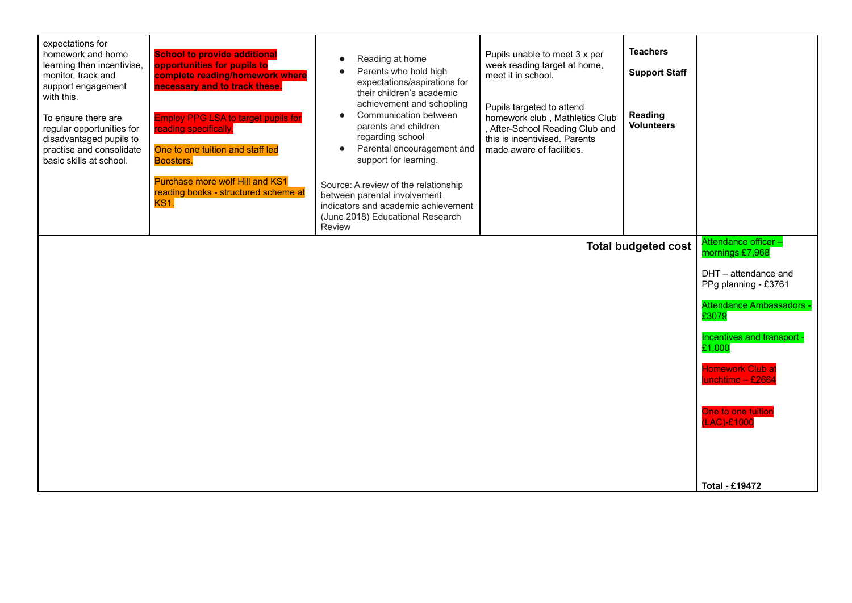| expectations for<br>homework and home<br>learning then incentivise,<br>monitor, track and<br>support engagement<br>with this.<br>To ensure there are<br>regular opportunities for<br>disadvantaged pupils to<br>practise and consolidate<br>basic skills at school. | <b>School to provide additional</b><br>opportunities for pupils to<br>complete reading/homework where<br>necessary and to track these.<br><b>Employ PPG LSA to target pupils for</b><br>reading specifically.<br>One to one tuition and staff led<br>Boosters. | Reading at home<br>$\bullet$<br>Parents who hold high<br>expectations/aspirations for<br>their children's academic<br>achievement and schooling<br>Communication between<br>parents and children<br>regarding school<br>Parental encouragement and<br>$\bullet$<br>support for learning. | Pupils unable to meet 3 x per<br>week reading target at home,<br>meet it in school.<br>Pupils targeted to attend<br>homework club, Mathletics Club<br>, After-School Reading Club and<br>this is incentivised. Parents<br>made aware of facilities. | <b>Teachers</b><br><b>Support Staff</b><br>Reading<br><b>Volunteers</b> |                                              |
|---------------------------------------------------------------------------------------------------------------------------------------------------------------------------------------------------------------------------------------------------------------------|----------------------------------------------------------------------------------------------------------------------------------------------------------------------------------------------------------------------------------------------------------------|------------------------------------------------------------------------------------------------------------------------------------------------------------------------------------------------------------------------------------------------------------------------------------------|-----------------------------------------------------------------------------------------------------------------------------------------------------------------------------------------------------------------------------------------------------|-------------------------------------------------------------------------|----------------------------------------------|
|                                                                                                                                                                                                                                                                     | Purchase more wolf Hill and KS1<br>reading books - structured scheme at<br><b>KS1.</b>                                                                                                                                                                         | Source: A review of the relationship<br>between parental involvement<br>indicators and academic achievement<br>(June 2018) Educational Research<br>Review                                                                                                                                |                                                                                                                                                                                                                                                     |                                                                         |                                              |
| <b>Total budgeted cost</b>                                                                                                                                                                                                                                          |                                                                                                                                                                                                                                                                |                                                                                                                                                                                                                                                                                          |                                                                                                                                                                                                                                                     |                                                                         | Attendance officer -<br>mornings £7,968      |
|                                                                                                                                                                                                                                                                     |                                                                                                                                                                                                                                                                |                                                                                                                                                                                                                                                                                          |                                                                                                                                                                                                                                                     |                                                                         | DHT - attendance and<br>PPg planning - £3761 |
|                                                                                                                                                                                                                                                                     |                                                                                                                                                                                                                                                                |                                                                                                                                                                                                                                                                                          |                                                                                                                                                                                                                                                     |                                                                         | <b>Attendance Ambassadors -</b><br>£3079     |
|                                                                                                                                                                                                                                                                     |                                                                                                                                                                                                                                                                |                                                                                                                                                                                                                                                                                          |                                                                                                                                                                                                                                                     |                                                                         | Incentives and transport -<br>£1,000         |
|                                                                                                                                                                                                                                                                     |                                                                                                                                                                                                                                                                |                                                                                                                                                                                                                                                                                          |                                                                                                                                                                                                                                                     |                                                                         | <b>Homework Club at</b><br>lunchtime - £2664 |
|                                                                                                                                                                                                                                                                     |                                                                                                                                                                                                                                                                |                                                                                                                                                                                                                                                                                          |                                                                                                                                                                                                                                                     |                                                                         | One to one tuition<br>(LAC)-£1000            |
|                                                                                                                                                                                                                                                                     |                                                                                                                                                                                                                                                                |                                                                                                                                                                                                                                                                                          |                                                                                                                                                                                                                                                     |                                                                         |                                              |
|                                                                                                                                                                                                                                                                     |                                                                                                                                                                                                                                                                |                                                                                                                                                                                                                                                                                          |                                                                                                                                                                                                                                                     |                                                                         | <b>Total - £19472</b>                        |